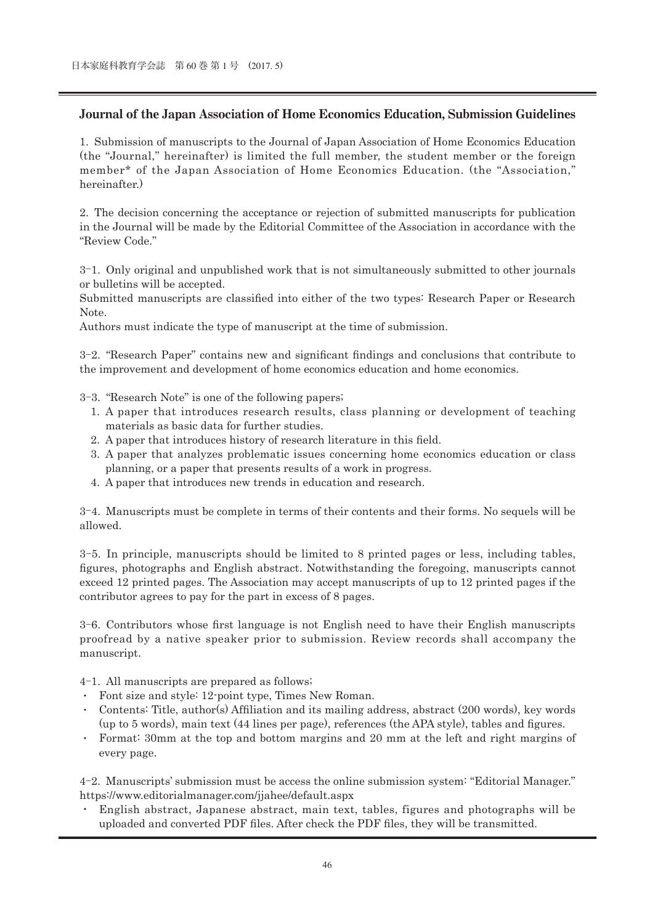## **Journal of the Japan Association of Home Economics Education, Submission Guidelines**

1. Submission of manuscripts to the Journal of Japan Association of Home Economics Education (the "Journal," hereinafter) is limited the full member, the student member or the foreign member\* of the Japan Association of Home Economics Education. (the "Association," hereinafter.)

2. The decision concerning the acceptance or rejection of submitted manuscripts for publication in the Journal will be made by the Editorial Committee of the Association in accordance with the "Review Code."

3-1. Only original and unpublished work that is not simultaneously submitted to other journals or bulletins will be accepted.

Submitted manuscripts are classified into either of the two types: Research Paper or Research Note.

Authors must indicate the type of manuscript at the time of submission.

3-2. "Research Paper" contains new and significant findings and conclusions that contribute to the improvement and development of home economics education and home economics.

- 3-3. "Research Note" is one of the following papers;
	- 1. A paper that introduces research results, class planning or development of teaching materials as basic data for further studies.
	- 2. A paper that introduces history of research literature in this field.
	- 3. A paper that analyzes problematic issues concerning home economics education or class planning, or a paper that presents results of a work in progress.
	- 4. A paper that introduces new trends in education and research.

3-4. Manuscripts must be complete in terms of their contents and their forms. No sequels will be allowed.

3-5. In principle, manuscripts should be limited to 8 printed pages or less, including tables, figures, photographs and English abstract. Notwithstanding the foregoing, manuscripts cannot exceed 12 printed pages. The Association may accept manuscripts of up to 12 printed pages if the contributor agrees to pay for the part in excess of 8 pages.

3-6. Contributors whose first language is not English need to have their English manuscripts proofread by a native speaker prior to submission. Review records shall accompany the manuscript.

4-1. All manuscripts are prepared as follows;

- ・ Font size and style: 12-point type, Times New Roman.
- ・ Contents: Title, author(s) Affiliation and its mailing address, abstract (200 words), key words (up to 5 words), main text (44 lines per page), references (the APA style), tables and figures.
- Format: 30mm at the top and bottom margins and 20 mm at the left and right margins of every page.

4-2. Manuscripts' submission must be access the online submission system: "Editorial Manager." https://www.editorialmanager.com/jjahee/default.aspx

・ English abstract, Japanese abstract, main text, tables, figures and photographs will be uploaded and converted PDF files. After check the PDF files, they will be transmitted.